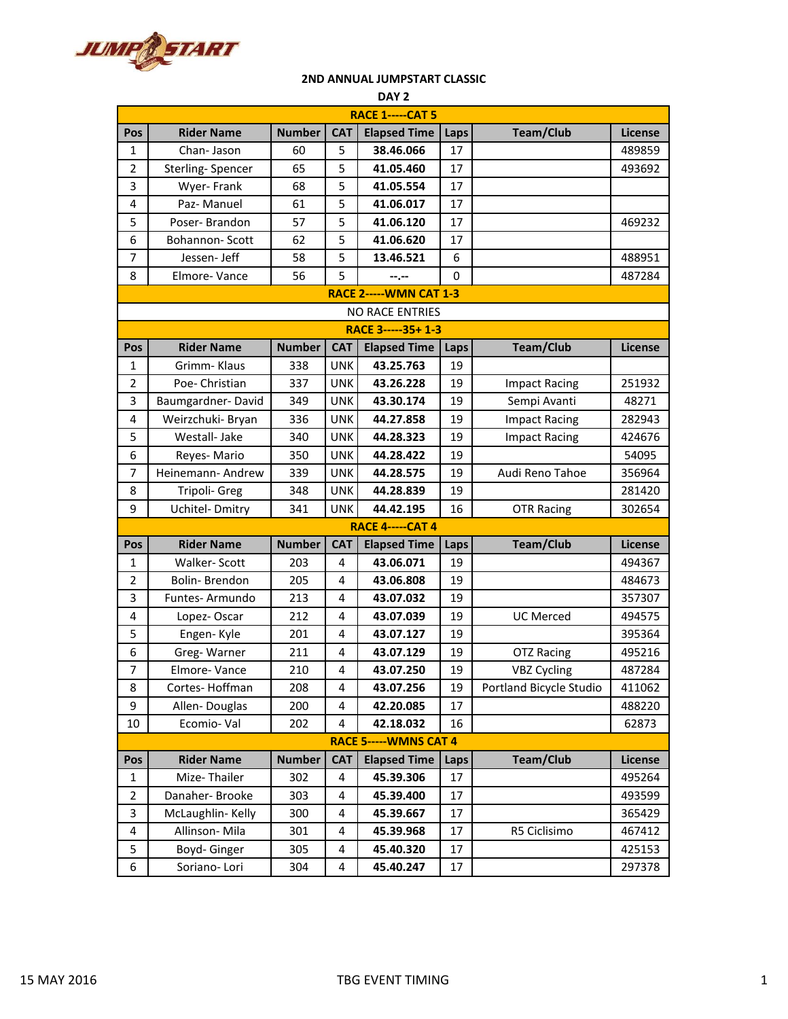

## **2ND ANNUAL JUMPSTART CLASSIC**

| DAY <sub>2</sub>               |                       |               |            |                         |      |                         |                |  |
|--------------------------------|-----------------------|---------------|------------|-------------------------|------|-------------------------|----------------|--|
| <b>RACE 1-----CAT 5</b>        |                       |               |            |                         |      |                         |                |  |
| Pos                            | <b>Rider Name</b>     | <b>Number</b> | <b>CAT</b> | <b>Elapsed Time</b>     | Laps | Team/Club               | <b>License</b> |  |
| 1                              | Chan-Jason            | 60            | 5          | 38.46.066               | 17   |                         | 489859         |  |
| 2                              | Sterling-Spencer      | 65            | 5          | 41.05.460               | 17   |                         | 493692         |  |
| 3                              | Wyer-Frank            | 68            | 5          | 41.05.554               | 17   |                         |                |  |
| 4                              | Paz-Manuel            | 61            | 5          | 41.06.017               | 17   |                         |                |  |
| 5                              | Poser-Brandon         | 57            | 5          | 41.06.120               | 17   |                         | 469232         |  |
| 6                              | <b>Bohannon-Scott</b> | 62            | 5          | 41.06.620               | 17   |                         |                |  |
| 7                              | Jessen- Jeff          | 58            | 5          | 13.46.521               | 6    |                         | 488951         |  |
| 8                              | Elmore-Vance          | 56            | 5          | --.--                   | 0    |                         | 487284         |  |
| <b>RACE 2----- WMN CAT 1-3</b> |                       |               |            |                         |      |                         |                |  |
| <b>NO RACE ENTRIES</b>         |                       |               |            |                         |      |                         |                |  |
| RACE 3-----35+ 1-3             |                       |               |            |                         |      |                         |                |  |
| Pos                            | <b>Rider Name</b>     | <b>Number</b> | <b>CAT</b> | <b>Elapsed Time</b>     | Laps | <b>Team/Club</b>        | <b>License</b> |  |
| 1                              | Grimm-Klaus           | 338           | <b>UNK</b> | 43.25.763               | 19   |                         |                |  |
| $\overline{2}$                 | Poe- Christian        | 337           | <b>UNK</b> | 43.26.228               | 19   | <b>Impact Racing</b>    | 251932         |  |
| 3                              | Baumgardner-David     | 349           | <b>UNK</b> | 43.30.174               | 19   | Sempi Avanti            | 48271          |  |
| 4                              | Weirzchuki- Bryan     | 336           | <b>UNK</b> | 44.27.858               | 19   | <b>Impact Racing</b>    | 282943         |  |
| 5                              | Westall- Jake         | 340           | <b>UNK</b> | 44.28.323               | 19   | <b>Impact Racing</b>    | 424676         |  |
| 6                              | Reyes-Mario           | 350           | <b>UNK</b> | 44.28.422               | 19   |                         | 54095          |  |
| 7                              | Heinemann-Andrew      | 339           | <b>UNK</b> | 44.28.575               | 19   | Audi Reno Tahoe         | 356964         |  |
| 8                              | Tripoli- Greg         | 348           | <b>UNK</b> | 44.28.839               | 19   |                         | 281420         |  |
| 9                              | Uchitel-Dmitry        | 341           | <b>UNK</b> | 44.42.195               | 16   | <b>OTR Racing</b>       | 302654         |  |
|                                |                       |               |            | <b>RACE 4-----CAT 4</b> |      |                         |                |  |
| Pos                            | <b>Rider Name</b>     | <b>Number</b> | <b>CAT</b> | <b>Elapsed Time</b>     | Laps | <b>Team/Club</b>        | License        |  |
| 1                              | Walker-Scott          | 203           | 4          | 43.06.071               | 19   |                         | 494367         |  |
| 2                              | Bolin-Brendon         | 205           | 4          | 43.06.808               | 19   |                         | 484673         |  |
| 3                              | Funtes-Armundo        | 213           | 4          | 43.07.032               | 19   |                         | 357307         |  |
| 4                              | Lopez-Oscar           | 212           | 4          | 43.07.039               | 19   | <b>UC Merced</b>        | 494575         |  |
| 5                              | Engen-Kyle            | 201           | 4          | 43.07.127               | 19   |                         | 395364         |  |
| 6                              | Greg-Warner           | 211           | 4          | 43.07.129               | 19   | <b>OTZ Racing</b>       | 495216         |  |
| $\overline{7}$                 | Elmore-Vance          | 210           | 4          | 43.07.250               | 19   | <b>VBZ Cycling</b>      | 487284         |  |
| 8                              | Cortes-Hoffman        | 208           | 4          | 43.07.256               | 19   | Portland Bicycle Studio | 411062         |  |
| 9                              | Allen-Douglas         | 200           | 4          | 42.20.085               | 17   |                         | 488220         |  |
| 10                             | Ecomio-Val            | 202           | 4          | 42.18.032               | 16   |                         | 62873          |  |
| <b>RACE 5----- WMNS CAT 4</b>  |                       |               |            |                         |      |                         |                |  |
| Pos                            | <b>Rider Name</b>     | <b>Number</b> | <b>CAT</b> | <b>Elapsed Time</b>     | Laps | <b>Team/Club</b>        | <b>License</b> |  |
| 1                              | Mize-Thailer          | 302           | 4          | 45.39.306               | 17   |                         | 495264         |  |
| 2                              | Danaher-Brooke        | 303           | 4          | 45.39.400               | 17   |                         | 493599         |  |
| 3                              | McLaughlin-Kelly      | 300           | 4          | 45.39.667               | 17   |                         | 365429         |  |
| 4                              | Allinson-Mila         | 301           | 4          | 45.39.968               | 17   | R5 Ciclisimo            | 467412         |  |
| 5                              | Boyd-Ginger           | 305           | 4          | 45.40.320               | 17   |                         | 425153         |  |
| 6                              | Soriano-Lori          | 304           | 4          | 45.40.247               | 17   |                         | 297378         |  |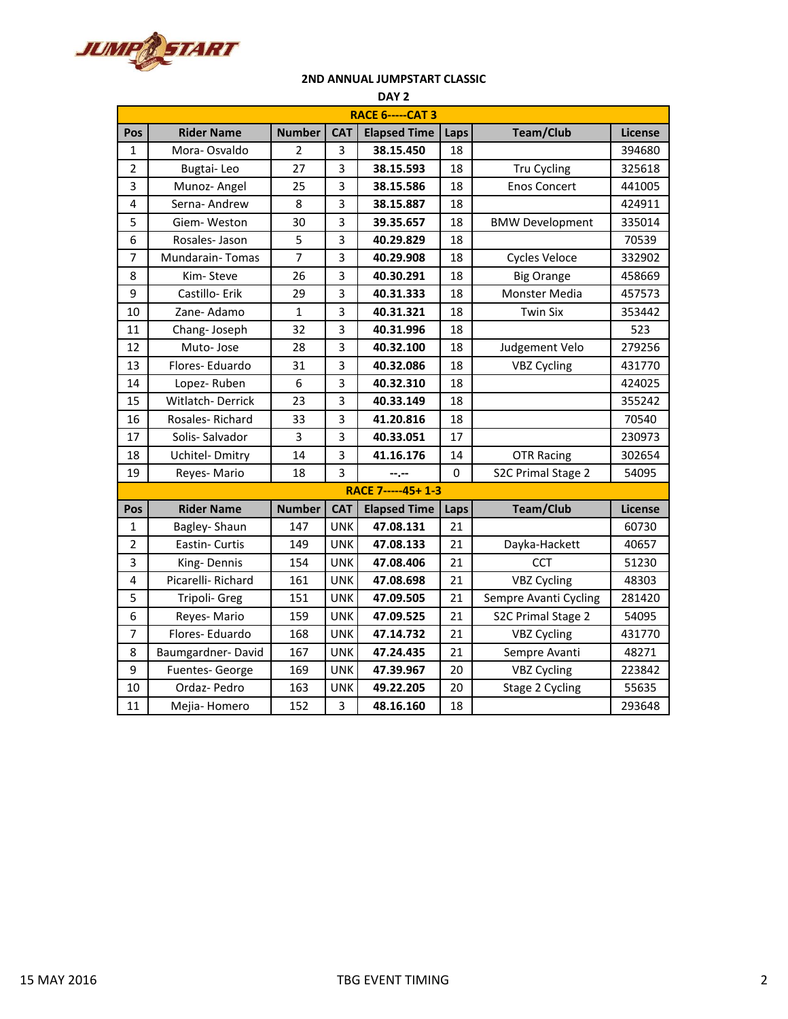

## **2ND ANNUAL JUMPSTART CLASSIC**

| DAY <sub>2</sub>        |                        |                |                         |                     |      |                        |                |  |  |
|-------------------------|------------------------|----------------|-------------------------|---------------------|------|------------------------|----------------|--|--|
| <b>RACE 6-----CAT 3</b> |                        |                |                         |                     |      |                        |                |  |  |
| Pos                     | <b>Rider Name</b>      | <b>Number</b>  | <b>CAT</b>              | <b>Elapsed Time</b> | Laps | <b>Team/Club</b>       | <b>License</b> |  |  |
| 1                       | Mora-Osvaldo           | $\overline{2}$ | 3                       | 38.15.450           | 18   |                        | 394680         |  |  |
| 2                       | Bugtai-Leo             | 27             | 3                       | 38.15.593           | 18   | Tru Cycling            | 325618         |  |  |
| 3                       | Munoz- Angel           | 25             | 3                       | 38.15.586           | 18   | <b>Enos Concert</b>    | 441005         |  |  |
| 4                       | Serna-Andrew           | 8              | 3                       | 38.15.887           | 18   |                        | 424911         |  |  |
| 5                       | Giem-Weston            | 30             | 3                       | 39.35.657           | 18   | <b>BMW Development</b> | 335014         |  |  |
| 6                       | Rosales-Jason          | 5              | 3                       | 40.29.829           | 18   |                        | 70539          |  |  |
| 7                       | <b>Mundarain-Tomas</b> | 7              | 3                       | 40.29.908           | 18   | <b>Cycles Veloce</b>   | 332902         |  |  |
| 8                       | Kim-Steve              | 26             | 3                       | 40.30.291           | 18   | <b>Big Orange</b>      | 458669         |  |  |
| 9                       | Castillo-Erik          | 29             | 3                       | 40.31.333           | 18   | Monster Media          | 457573         |  |  |
| 10                      | Zane-Adamo             | $\mathbf{1}$   | 3                       | 40.31.321           | 18   | <b>Twin Six</b>        | 353442         |  |  |
| 11                      | Chang-Joseph           | 32             | 3                       | 40.31.996           | 18   |                        | 523            |  |  |
| 12                      | Muto-Jose              | 28             | $\overline{\mathbf{3}}$ | 40.32.100           | 18   | Judgement Velo         | 279256         |  |  |
| 13                      | Flores-Eduardo         | 31             | 3                       | 40.32.086           | 18   | <b>VBZ Cycling</b>     | 431770         |  |  |
| 14                      | Lopez-Ruben            | 6              | 3                       | 40.32.310           | 18   |                        | 424025         |  |  |
| 15                      | Witlatch-Derrick       | 23             | 3                       | 40.33.149           | 18   |                        | 355242         |  |  |
| 16                      | Rosales-Richard        | 33             | 3                       | 41.20.816           | 18   |                        | 70540          |  |  |
| 17                      | Solis-Salvador         | 3              | 3                       | 40.33.051           | 17   |                        | 230973         |  |  |
| 18                      | Uchitel-Dmitry         | 14             | 3                       | 41.16.176           | 14   | <b>OTR Racing</b>      | 302654         |  |  |
| 19                      | Reyes-Mario            | 18             | 3                       | --.--               | 0    | S2C Primal Stage 2     | 54095          |  |  |
|                         |                        |                |                         | RACE 7-----45+ 1-3  |      |                        |                |  |  |
| Pos                     | <b>Rider Name</b>      | <b>Number</b>  | <b>CAT</b>              | <b>Elapsed Time</b> | Laps | <b>Team/Club</b>       | License        |  |  |
| 1                       | Bagley-Shaun           | 147            | <b>UNK</b>              | 47.08.131           | 21   |                        | 60730          |  |  |
| $\overline{2}$          | Eastin- Curtis         | 149            | <b>UNK</b>              | 47.08.133           | 21   | Dayka-Hackett          | 40657          |  |  |
| 3                       | King-Dennis            | 154            | <b>UNK</b>              | 47.08.406           | 21   | <b>CCT</b>             | 51230          |  |  |
| 4                       | Picarelli-Richard      | 161            | <b>UNK</b>              | 47.08.698           | 21   | <b>VBZ Cycling</b>     | 48303          |  |  |
| 5                       | Tripoli- Greg          | 151            | <b>UNK</b>              | 47.09.505           | 21   | Sempre Avanti Cycling  | 281420         |  |  |
| 6                       | Reyes-Mario            | 159            | <b>UNK</b>              | 47.09.525           | 21   | S2C Primal Stage 2     | 54095          |  |  |
| 7                       | Flores-Eduardo         | 168            | <b>UNK</b>              | 47.14.732           | 21   | <b>VBZ Cycling</b>     | 431770         |  |  |
| 8                       | Baumgardner-David      | 167            | <b>UNK</b>              | 47.24.435           | 21   | Sempre Avanti          | 48271          |  |  |
| 9                       | Fuentes-George         | 169            | <b>UNK</b>              | 47.39.967           | 20   | <b>VBZ Cycling</b>     | 223842         |  |  |
| 10                      | Ordaz-Pedro            | 163            | <b>UNK</b>              | 49.22.205           | 20   | Stage 2 Cycling        | 55635          |  |  |
| 11                      | Mejia-Homero           | 152            | 3                       | 48.16.160           | 18   |                        | 293648         |  |  |